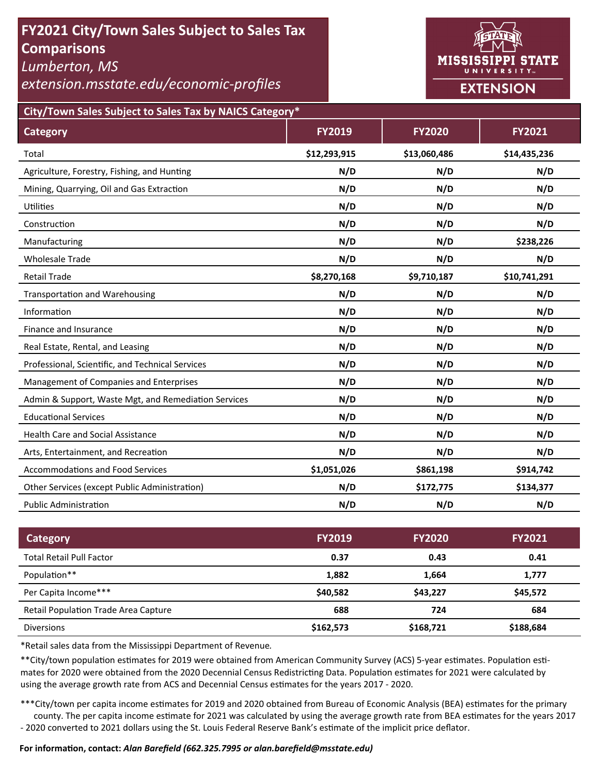# **FY2021 City/Town Sales Subject to Sales Tax Comparisons**

*Lumberton, MS* 

*extension.msstate.edu/economic‐profiles* 



**City/Town Sales Subject to Sales Tax by NAICS Category\***

| <b>Category</b>                                      | <b>FY2019</b> | <b>FY2020</b> | <b>FY2021</b> |
|------------------------------------------------------|---------------|---------------|---------------|
| Total                                                | \$12,293,915  | \$13,060,486  | \$14,435,236  |
| Agriculture, Forestry, Fishing, and Hunting          | N/D           | N/D           | N/D           |
| Mining, Quarrying, Oil and Gas Extraction            | N/D           | N/D           | N/D           |
| Utilities                                            | N/D           | N/D           | N/D           |
| Construction                                         | N/D           | N/D           | N/D           |
| Manufacturing                                        | N/D           | N/D           | \$238,226     |
| <b>Wholesale Trade</b>                               | N/D           | N/D           | N/D           |
| <b>Retail Trade</b>                                  | \$8,270,168   | \$9,710,187   | \$10,741,291  |
| <b>Transportation and Warehousing</b>                | N/D           | N/D           | N/D           |
| Information                                          | N/D           | N/D           | N/D           |
| Finance and Insurance                                | N/D           | N/D           | N/D           |
| Real Estate, Rental, and Leasing                     | N/D           | N/D           | N/D           |
| Professional, Scientific, and Technical Services     | N/D           | N/D           | N/D           |
| Management of Companies and Enterprises              | N/D           | N/D           | N/D           |
| Admin & Support, Waste Mgt, and Remediation Services | N/D           | N/D           | N/D           |
| <b>Educational Services</b>                          | N/D           | N/D           | N/D           |
| <b>Health Care and Social Assistance</b>             | N/D           | N/D           | N/D           |
| Arts, Entertainment, and Recreation                  | N/D           | N/D           | N/D           |
| <b>Accommodations and Food Services</b>              | \$1,051,026   | \$861,198     | \$914,742     |
| Other Services (except Public Administration)        | N/D           | \$172,775     | \$134,377     |
| <b>Public Administration</b>                         | N/D           | N/D           | N/D           |

| <b>Category</b>                      | <b>FY2019</b> | <b>FY2020</b> | <b>FY2021</b> |
|--------------------------------------|---------------|---------------|---------------|
| <b>Total Retail Pull Factor</b>      | 0.37          | 0.43          | 0.41          |
| Population**                         | 1,882         | 1.664         | 1,777         |
| Per Capita Income***                 | \$40,582      | \$43.227      | \$45,572      |
| Retail Population Trade Area Capture | 688           | 724           | 684           |
| <b>Diversions</b>                    | \$162,573     | \$168,721     | \$188,684     |

\*Retail sales data from the Mississippi Department of Revenue*.* 

\*\*City/town population estimates for 2019 were obtained from American Community Survey (ACS) 5-year estimates. Population estimates for 2020 were obtained from the 2020 Decennial Census Redistricting Data. Population estimates for 2021 were calculated by using the average growth rate from ACS and Decennial Census estimates for the years 2017 - 2020.

\*\*\*City/town per capita income estimates for 2019 and 2020 obtained from Bureau of Economic Analysis (BEA) estimates for the primary county. The per capita income estimate for 2021 was calculated by using the average growth rate from BEA estimates for the years 2017 - 2020 converted to 2021 dollars using the St. Louis Federal Reserve Bank's estimate of the implicit price deflator.

### **For informaƟon, contact:** *Alan Barefield (662.325.7995 or alan.barefield@msstate.edu)*